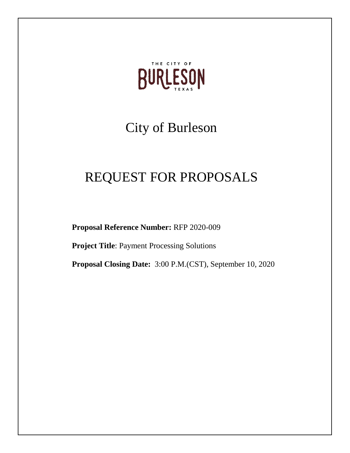

# City of Burleson

# REQUEST FOR PROPOSALS

**Proposal Reference Number:** RFP 2020-009

**Project Title**: Payment Processing Solutions

**Proposal Closing Date:** 3:00 P.M.(CST), September 10, 2020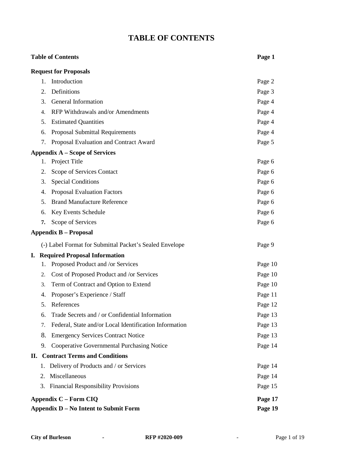### **TABLE OF CONTENTS**

## **Table of Contents Page 1 Request for Proposals** 1. Introduction Page 2 2. Definitions Page 3 3. General Information **Page 4** 4. RFP Withdrawals and/or Amendments Page 4 5. Estimated Quantities Page 4 6. Proposal Submittal Requirements Page 4 7. Proposal Evaluation and Contract Award Page 5 **Appendix A – Scope of Services** 1. Project Title Page 6 2. Scope of Services Contact Page 6 3. Special Conditions Page 6 4. Proposal Evaluation Factors **Page 6** Page 6 5. Brand Manufacture Reference **Page 6** Page 6 6. Key Events Schedule Page 6 **7.** Scope of Services **Page 6 Appendix B – Proposal** (-) Label Format for Submittal Packet's Sealed Envelope Page 9 **I. Required Proposal Information** 1. Proposed Product and /or Services Page 10 2. Cost of Proposed Product and /or Services Page 10 3. Term of Contract and Option to Extend **Page 10** Page 10 4. Proposer's Experience / Staff Page 11 5. References Page 12 6. Trade Secrets and / or Confidential Information Page 13 7. Federal, State and/or Local Identification Information Page 13 8. Emergency Services Contract Notice Page 13 9. Cooperative Governmental Purchasing Notice Page 14 **II. Contract Terms and Conditions** 1. Delivery of Products and / or Services **Page 14** 2. Miscellaneous Page 14 3. Financial Responsibility Provisions Page 15 **Appendix C – Form CIQ Page 17**

**Appendix D – No Intent to Submit Form Page 19**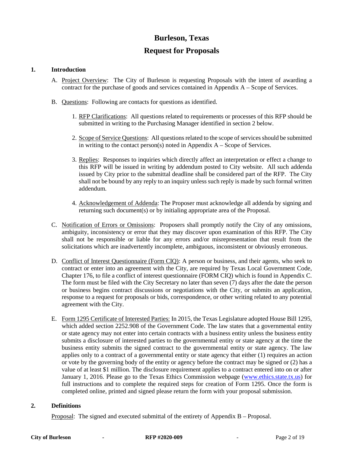### **Burleson, Texas**

### **Request for Proposals**

#### **1. Introduction**

- A. Project Overview: The City of Burleson is requesting Proposals with the intent of awarding a contract for the purchase of goods and services contained in Appendix A – Scope of Services.
- B. Questions: Following are contacts for questions as identified.
	- 1. RFP Clarifications: All questions related to requirements or processes of this RFP should be submitted in writing to the Purchasing Manager identified in section 2 below.
	- 2. Scope of Service Questions: All questions related to the scope of services should be submitted in writing to the contact person(s) noted in Appendix  $A -$ Scope of Services.
	- 3. Replies: Responses to inquiries which directly affect an interpretation or effect a change to this RFP will be issued in writing by addendum posted to City website. All such addenda issued by City prior to the submittal deadline shall be considered part of the RFP. The City shall not be bound by any reply to an inquiry unless such reply is made by such formal written addendum.
	- 4. Acknowledgement of Addenda: The Proposer must acknowledge all addenda by signing and returning such document(s) or by initialing appropriate area of the Proposal.
- C. Notification of Errors or Omissions: Proposers shall promptly notify the City of any omissions, ambiguity, inconsistency or error that they may discover upon examination of this RFP. The City shall not be responsible or liable for any errors and/or misrepresentation that result from the solicitations which are inadvertently incomplete, ambiguous, inconsistent or obviously erroneous.
- D. Conflict of Interest Questionnaire (Form CIQ): A person or business, and their agents, who seek to contract or enter into an agreement with the City, are required by Texas Local Government Code, Chapter 176, to file a conflict of interest questionnaire (FORM CIQ) which is found in Appendix C. The form must be filed with the City Secretary no later than seven (7) days after the date the person or business begins contract discussions or negotiations with the City, or submits an application, response to a request for proposals or bids, correspondence, or other writing related to any potential agreement with the City.
- E. Form 1295 Certificate of Interested Parties: In 2015, the Texas Legislature adopted House Bill 1295, which added section 2252.908 of the Government Code. The law states that a governmental entity or state agency may not enter into certain contracts with a business entity unless the business entity submits a disclosure of interested parties to the governmental entity or state agency at the time the business entity submits the signed contract to the governmental entity or state agency. The law applies only to a contract of a governmental entity or state agency that either (1) requires an action or vote by the governing body of the entity or agency before the contract may be signed or (2) has a value of at least \$1 million. The disclosure requirement applies to a contract entered into on or after January 1, 2016. Please go to the Texas Ethics Commission webpage [\(www.ethics.state.tx.us\)](http://www.ethics.state.tx.us/) for full instructions and to complete the required steps for creation of Form 1295. Once the form is completed online, printed and signed please return the form with your proposal submission.

#### **2. Definitions**

Proposal: The signed and executed submittal of the entirety of Appendix B – Proposal.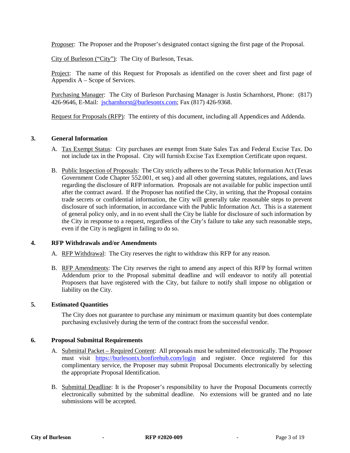Proposer: The Proposer and the Proposer's designated contact signing the first page of the Proposal.

City of Burleson ("City"): The City of Burleson, Texas.

Project: The name of this Request for Proposals as identified on the cover sheet and first page of Appendix A – Scope of Services.

Purchasing Manager: The City of Burleson Purchasing Manager is Justin Scharnhorst, Phone: (817) 426-9646, E-Mail: [jscharnhorst@burlesontx.com;](mailto:jscharnhorst@burlesontx.com) Fax (817) 426-9368.

Request for Proposals (RFP): The entirety of this document, including all Appendices and Addenda.

#### **3. General Information**

- A. Tax Exempt Status: City purchases are exempt from State Sales Tax and Federal Excise Tax. Do not include tax in the Proposal. City will furnish Excise Tax Exemption Certificate upon request.
- B. Public Inspection of Proposals: The City strictly adheres to the Texas Public Information Act (Texas Government Code Chapter 552.001, et seq.) and all other governing statutes, regulations, and laws regarding the disclosure of RFP information. Proposals are not available for public inspection until after the contract award. If the Proposer has notified the City, in writing, that the Proposal contains trade secrets or confidential information, the City will generally take reasonable steps to prevent disclosure of such information, in accordance with the Public Information Act. This is a statement of general policy only, and in no event shall the City be liable for disclosure of such information by the City in response to a request, regardless of the City's failure to take any such reasonable steps, even if the City is negligent in failing to do so.

#### **4. RFP Withdrawals and/or Amendments**

- A. RFP Withdrawal: The City reserves the right to withdraw this RFP for any reason.
- B. RFP Amendments: The City reserves the right to amend any aspect of this RFP by formal written Addendum prior to the Proposal submittal deadline and will endeavor to notify all potential Proposers that have registered with the City, but failure to notify shall impose no obligation or liability on the City.

#### **5. Estimated Quantities**

The City does not guarantee to purchase any minimum or maximum quantity but does contemplate purchasing exclusively during the term of the contract from the successful vendor.

#### **6. Proposal Submittal Requirements**

- A. Submittal Packet Required Content: All proposals must be submitted electronically. The Proposer must visit <https://burlesontx.bonfirehub.com/login> and register. Once registered for this complimentary service, the Proposer may submit Proposal Documents electronically by selecting the appropriate Proposal Identification.
- B. Submittal Deadline: It is the Proposer's responsibility to have the Proposal Documents correctly electronically submitted by the submittal deadline. No extensions will be granted and no late submissions will be accepted.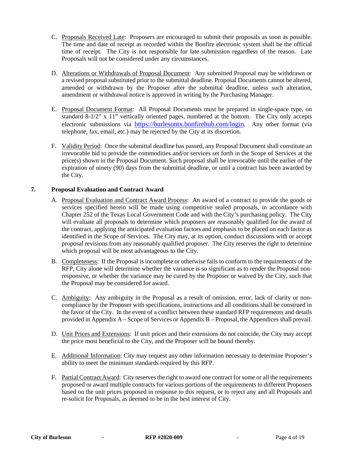- C. Proposals Received Late: Proposers are encouraged to submit their proposals as soon as possible. The time and date of receipt as recorded within the Bonfire electronic system shall be the official time of receipt. The City is not responsible for late submission regardless of the reason. Late Proposals will not be considered under any circumstances.
- D. Alterations or Withdrawals of Proposal Document: Any submitted Proposal may be withdrawn or a revised proposal substituted prior to the submittal deadline. Proposal Documents cannot be altered, amended or withdrawn by the Proposer after the submittal deadline, unless such alteration, amendment or withdrawal notice is approved in writing by the Purchasing Manager.
- E. Proposal Document Format: All Proposal Documents must be prepared in single-space type, on standard  $8-1/2$ " x 11" vertically oriented pages, numbered at the bottom. The City only accepts electronic submissions via [https://burlesontx.bonfirehub.com/login.](https://burlesontx.bonfirehub.com/login) Any other format (via telephone, fax, email, etc.) may be rejected by the City at its discretion.
- F. Validity Period: Once the submittal deadline has passed, any Proposal Document shall constitute an irrevocable bid to provide the commodities and/or services set forth in the Scope of Services at the price(s) shown in the Proposal Document. Such proposal shall be irrevocable until the earlier of the expiration of ninety (90) days from the submittal deadline, or until a contract has been awarded by the City.

#### **7. Proposal Evaluation and Contract Award**

- A. Proposal Evaluation and Contract Award Process: An award of a contract to provide the goods or services specified herein will be made using competitive sealed proposals, in accordance with Chapter 252 of the Texas Local Government Code and with the City's purchasing policy. The City will evaluate all proposals to determine which proposers are reasonably qualified for the award of the contract, applying the anticipated evaluation factors and emphasis to be placed on each factor as identified in the Scope of Services. The City may, at its option, conduct discussions with or accept proposal revisions from any reasonably qualified proposer. The City reserves the right to determine which proposal will be most advantageous to the City.
- B. Completeness: If the Proposal is incomplete or otherwise fails to conform to the requirements of the RFP, City alone will determine whether the variance is so significant as to render the Proposal nonresponsive, or whether the variance may be cured by the Proposer or waived by the City, such that the Proposal may be considered for award.
- C. Ambiguity: Any ambiguity in the Proposal as a result of omission, error, lack of clarity or noncompliance by the Proposer with specifications, instructions and all conditions shall be construed in the favor of the City. In the event of a conflict between these standard RFP requirements and details provided in Appendix A – Scope of Services or Appendix B – Proposal, the Appendices shall prevail.
- D. Unit Prices and Extensions: If unit prices and their extensions do not coincide, the City may accept the price most beneficial to the City, and the Proposer will be bound thereby.
- E. Additional Information: City may request any other information necessary to determine Proposer's ability to meet the minimum standards required by this RFP.
- F. Partial Contract Award: City reserves the right to award one contract for some or all the requirements proposed or award multiple contracts for various portions of the requirements to different Proposers based on the unit prices proposed in response to this request, or to reject any and all Proposals and re-solicit for Proposals, as deemed to be in the best interest of City.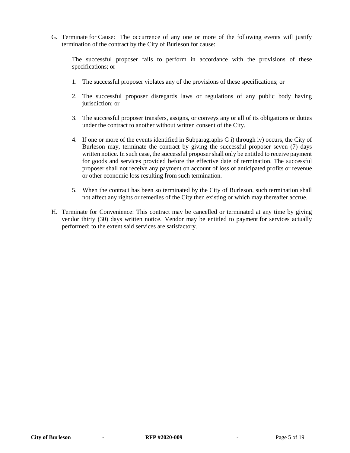G. Terminate for Cause: The occurrence of any one or more of the following events will justify termination of the contract by the City of Burleson for cause:

The successful proposer fails to perform in accordance with the provisions of these specifications; or

- 1. The successful proposer violates any of the provisions of these specifications; or
- 2. The successful proposer disregards laws or regulations of any public body having jurisdiction; or
- 3. The successful proposer transfers, assigns, or conveys any or all of its obligations or duties under the contract to another without written consent of the City.
- 4. If one or more of the events identified in Subparagraphs G i) through iv) occurs, the City of Burleson may, terminate the contract by giving the successful proposer seven (7) days written notice. In such case, the successful proposer shall only be entitled to receive payment for goods and services provided before the effective date of termination. The successful proposer shall not receive any payment on account of loss of anticipated profits or revenue or other economic loss resulting from such termination.
- 5. When the contract has been so terminated by the City of Burleson, such termination shall not affect any rights or remedies of the City then existing or which may thereafter accrue.
- H. Terminate for Convenience: This contract may be cancelled or terminated at any time by giving vendor thirty (30) days written notice. Vendor may be entitled to payment for services actually performed; to the extent said services are satisfactory.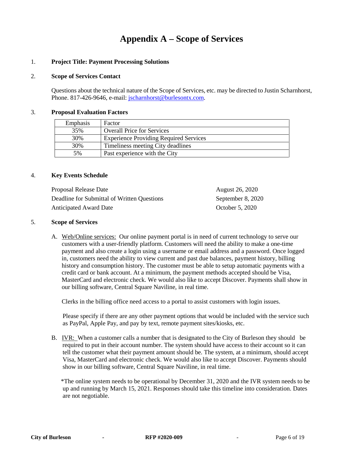## **Appendix A – Scope of Services**

#### 1. **Project Title: Payment Processing Solutions**

#### 2. **Scope of Services Contact**

Questions about the technical nature of the Scope of Services, etc. may be directed to Justin Scharnhorst, Phone. 817-426-9646, e-mail: [jscharnhorst@burlesontx.com.](mailto:jscharnhorst@burlesontx.com)

#### 3. **Proposal Evaluation Factors**

| Emphasis | Factor                                        |
|----------|-----------------------------------------------|
| 35%      | <b>Overall Price for Services</b>             |
| 30%      | <b>Experience Providing Required Services</b> |
| 30%      | Timeliness meeting City deadlines             |
| 5%       | Past experience with the City                 |

#### 4. **Key Events Schedule**

| Proposal Release Date                       | August 26, 2020   |
|---------------------------------------------|-------------------|
| Deadline for Submittal of Written Questions | September 8, 2020 |
| Anticipated Award Date                      | October 5, 2020   |

#### 5. **Scope of Services**

A. Web/Online services: Our online payment portal is in need of current technology to serve our customers with a user-friendly platform. Customers will need the ability to make a one-time payment and also create a login using a username or email address and a password. Once logged in, customers need the ability to view current and past due balances, payment history, billing history and consumption history. The customer must be able to setup automatic payments with a credit card or bank account. At a minimum, the payment methods accepted should be Visa, MasterCard and electronic check. We would also like to accept Discover. Payments shall show in our billing software, Central Square Naviline, in real time.

Clerks in the billing office need access to a portal to assist customers with login issues.

Please specify if there are any other payment options that would be included with the service such as PayPal, Apple Pay, and pay by text, remote payment sites/kiosks, etc.

B. IVR: When a customer calls a number that is designated to the City of Burleson they should be required to put in their account number. The system should have access to their account so it can tell the customer what their payment amount should be. The system, at a minimum, should accept Visa, MasterCard and electronic check. We would also like to accept Discover. Payments should show in our billing software, Central Square Naviline, in real time.

\*The online system needs to be operational by December 31, 2020 and the IVR system needs to be up and running by March 15, 2021. Responses should take this timeline into consideration. Dates are not negotiable.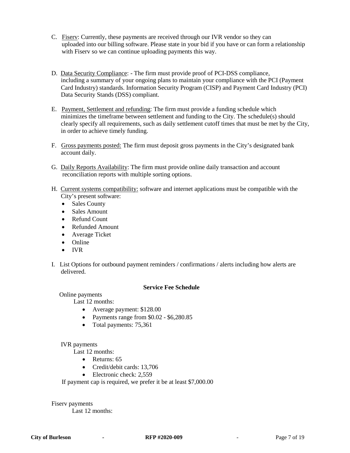- C. Fiserv: Currently, these payments are received through our IVR vendor so they can uploaded into our billing software. Please state in your bid if you have or can form a relationship with Fiserv so we can continue uploading payments this way.
- D. Data Security Compliance: The firm must provide proof of PCI-DSS compliance, including a summary of your ongoing plans to maintain your compliance with the PCI (Payment Card Industry) standards. Information Security Program (CISP) and Payment Card Industry (PCI) Data Security Stands (DSS) compliant.
- E. Payment, Settlement and refunding: The firm must provide a funding schedule which minimizes the timeframe between settlement and funding to the City. The schedule(s) should clearly specify all requirements, such as daily settlement cutoff times that must be met by the City, in order to achieve timely funding.
- F. Gross payments posted: The firm must deposit gross payments in the City's designated bank account daily.
- G. Daily Reports Availability: The firm must provide online daily transaction and account reconciliation reports with multiple sorting options.
- H. Current systems compatibility: software and internet applications must be compatible with the City's present software:
	- Sales County
	- Sales Amount
	- Refund Count
	- Refunded Amount
	- Average Ticket
	- Online
	- IVR
- I. List Options for outbound payment reminders / confirmations / alerts including how alerts are delivered.

#### **Service Fee Schedule**

#### Online payments

Last 12 months:

- Average payment: \$128.00
- Payments range from \$0.02 \$6,280.85
- Total payments: 75,361

#### IVR payments

Last 12 months:

- Returns: 65
- Credit/debit cards: 13,706
- Electronic check: 2.559

If payment cap is required, we prefer it be at least \$7,000.00

Fiserv payments Last 12 months: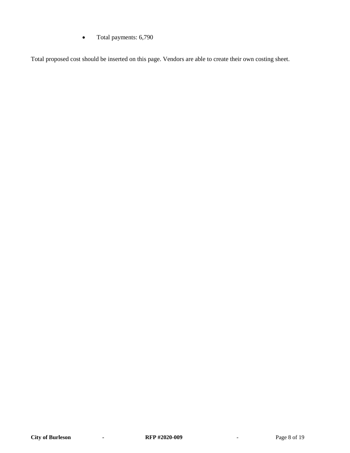• Total payments: 6,790

Total proposed cost should be inserted on this page. Vendors are able to create their own costing sheet.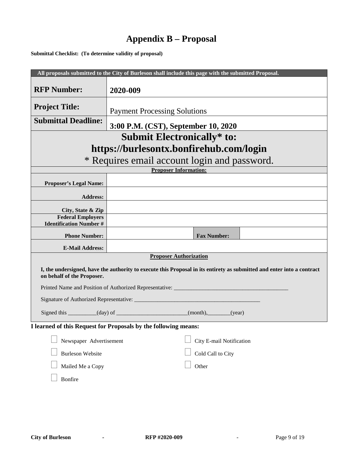# **Appendix B – Proposal**

**Submittal Checklist: (To determine validity of proposal)**

|                                                                                                                                                      | All proposals submitted to the City of Burleson shall include this page with the submitted Proposal. |  |
|------------------------------------------------------------------------------------------------------------------------------------------------------|------------------------------------------------------------------------------------------------------|--|
| <b>RFP Number:</b>                                                                                                                                   | 2020-009                                                                                             |  |
| <b>Project Title:</b>                                                                                                                                | <b>Payment Processing Solutions</b>                                                                  |  |
| <b>Submittal Deadline:</b>                                                                                                                           | 3:00 P.M. (CST), September 10, 2020                                                                  |  |
| <b>Submit Electronically* to:</b>                                                                                                                    |                                                                                                      |  |
| https://burlesontx.bonfirehub.com/login                                                                                                              |                                                                                                      |  |
| * Requires email account login and password.                                                                                                         |                                                                                                      |  |
|                                                                                                                                                      | <b>Proposer Information:</b>                                                                         |  |
| <b>Proposer's Legal Name:</b>                                                                                                                        |                                                                                                      |  |
| <b>Address:</b>                                                                                                                                      |                                                                                                      |  |
| City, State & Zip                                                                                                                                    |                                                                                                      |  |
| <b>Federal Employers</b>                                                                                                                             |                                                                                                      |  |
| <b>Identification Number #</b>                                                                                                                       |                                                                                                      |  |
| <b>Phone Number:</b>                                                                                                                                 | <b>Fax Number:</b>                                                                                   |  |
| <b>E-Mail Address:</b>                                                                                                                               |                                                                                                      |  |
|                                                                                                                                                      | <b>Proposer Authorization</b>                                                                        |  |
| I, the undersigned, have the authority to execute this Proposal in its entirety as submitted and enter into a contract<br>on behalf of the Proposer. |                                                                                                      |  |
|                                                                                                                                                      | Printed Name and Position of Authorized Representative: _________________________                    |  |
| Signature of Authorized Representative: ___________                                                                                                  |                                                                                                      |  |
|                                                                                                                                                      | Signed this __________(day) of ______________________(month), _______(year)                          |  |
| I learned of this Request for Proposals by the following means:                                                                                      |                                                                                                      |  |
| Newspaper Advertisement                                                                                                                              | City E-mail Notification                                                                             |  |
| <b>Burleson Website</b>                                                                                                                              | Cold Call to City                                                                                    |  |
| Mailed Me a Copy                                                                                                                                     | Other                                                                                                |  |
| Bonfire                                                                                                                                              |                                                                                                      |  |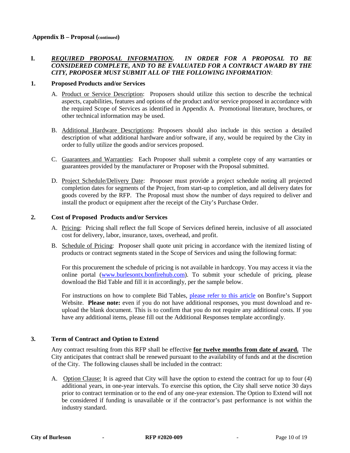#### **I.** *REQUIRED PROPOSAL INFORMATION. IN ORDER FOR A PROPOSAL TO BE CONSIDERED COMPLETE, AND TO BE EVALUATED FOR A CONTRACT AWARD BY THE CITY, PROPOSER MUST SUBMIT ALL OF THE FOLLOWING INFORMATION*:

#### **1. Proposed Products and/or Services**

- A. Product or Service Description: Proposers should utilize this section to describe the technical aspects, capabilities, features and options of the product and/or service proposed in accordance with the required Scope of Services as identified in Appendix A. Promotional literature, brochures, or other technical information may be used.
- B. Additional Hardware Descriptions: Proposers should also include in this section a detailed description of what additional hardware and/or software, if any, would be required by the City in order to fully utilize the goods and/or services proposed.
- C. Guarantees and Warranties: Each Proposer shall submit a complete copy of any warranties or guarantees provided by the manufacturer or Proposer with the Proposal submitted.
- D. Project Schedule/Delivery Date: Proposer must provide a project schedule noting all projected completion dates for segments of the Project, from start-up to completion, and all delivery dates for goods covered by the RFP. The Proposal must show the number of days required to deliver and install the product or equipment after the receipt of the City's Purchase Order.

#### **2. Cost of Proposed Products and/or Services**

- A. Pricing: Pricing shall reflect the full Scope of Services defined herein, inclusive of all associated cost for delivery, labor, insurance, taxes, overhead, and profit.
- B. Schedule of Pricing: Proposer shall quote unit pricing in accordance with the itemized listing of products or contract segments stated in the Scope of Services and using the following format:

For this procurement the schedule of pricing is not available in hardcopy. You may access it via the online portal [\(www.burlesontx.bonfirehub.com\)](http://www.burlesontx.bonfirehub.com/). To submit your schedule of pricing, please download the Bid Table and fill it in accordingly, per the sample below.

For instructions on how to complete Bid Tables, [please refer to this article](https://support.gobonfire.com/hc/en-us/articles/216733798-How-do-I-fill-out-a-BidTable-template-Vendor-POV-) on Bonfire's Support Website. **Please note:** even if you do not have additional responses, you must download and reupload the blank document. This is to confirm that you do not require any additional costs. If you have any additional items, please fill out the Additional Responses template accordingly.

#### **3. Term of Contract and Option to Extend**

Any contract resulting from this RFP shall be effective **for twelve months from date of award.** The City anticipates that contract shall be renewed pursuant to the availability of funds and at the discretion of the City. The following clauses shall be included in the contract:

A.Option Clause: It is agreed that City will have the option to extend the contract for up to four (4) additional years, in one-year intervals. To exercise this option, the City shall serve notice 30 days prior to contract termination or to the end of any one-year extension. The Option to Extend will not be considered if funding is unavailable or if the contractor's past performance is not within the industry standard.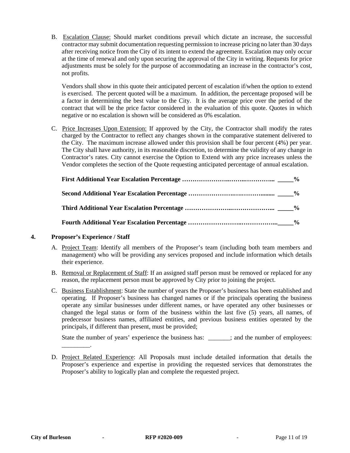B.Escalation Clause: Should market conditions prevail which dictate an increase, the successful contractor may submit documentation requesting permission to increase pricing no later than 30 days after receiving notice from the City of its intent to extend the agreement. Escalation may only occur at the time of renewal and only upon securing the approval of the City in writing. Requests for price adjustments must be solely for the purpose of accommodating an increase in the contractor's cost, not profits.

Vendors shall show in this quote their anticipated percent of escalation if/when the option to extend is exercised. The percent quoted will be a maximum. In addition, the percentage proposed will be a factor in determining the best value to the City. It is the average price over the period of the contract that will be the price factor considered in the evaluation of this quote. Quotes in which negative or no escalation is shown will be considered as 0% escalation.

C.Price Increases Upon Extension: If approved by the City, the Contractor shall modify the rates charged by the Contractor to reflect any changes shown in the comparative statement delivered to the City. The maximum increase allowed under this provision shall be four percent (4%) per year. The City shall have authority, in its reasonable discretion, to determine the validity of any change in Contractor's rates. City cannot exercise the Option to Extend with any price increases unless the Vendor completes the section of the Quote requesting anticipated percentage of annual escalation.

#### **4. Proposer's Experience / Staff**

\_\_\_\_\_\_\_\_\_.

- A. Project Team: Identify all members of the Proposer's team (including both team members and management) who will be providing any services proposed and include information which details their experience.
- B. Removal or Replacement of Staff: If an assigned staff person must be removed or replaced for any reason, the replacement person must be approved by City prior to joining the project.
- C. Business Establishment: State the number of years the Proposer's business has been established and operating. If Proposer's business has changed names or if the principals operating the business operate any similar businesses under different names, or have operated any other businesses or changed the legal status or form of the business within the last five (5) years, all names, of predecessor business names, affiliated entities, and previous business entities operated by the principals, if different than present, must be provided;

State the number of years' experience the business has: \_\_\_\_\_\_; and the number of employees:

D. Project Related Experience: All Proposals must include detailed information that details the Proposer's experience and expertise in providing the requested services that demonstrates the Proposer's ability to logically plan and complete the requested project.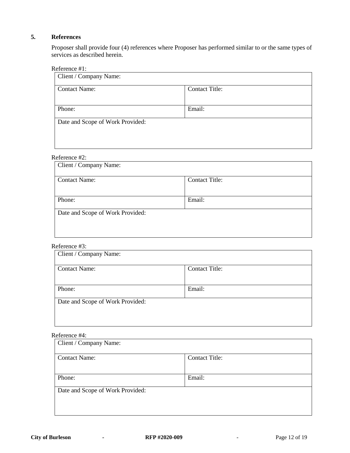#### **5. References**

Proposer shall provide four (4) references where Proposer has performed similar to or the same types of services as described herein.

#### Reference #1:

| Client / Company Name:           |                       |  |
|----------------------------------|-----------------------|--|
| <b>Contact Name:</b>             | <b>Contact Title:</b> |  |
|                                  |                       |  |
| Phone:                           | Email:                |  |
| Date and Scope of Work Provided: |                       |  |

#### Reference #2:

| Client / Company Name:           |                       |  |
|----------------------------------|-----------------------|--|
| <b>Contact Name:</b>             | <b>Contact Title:</b> |  |
|                                  |                       |  |
| Phone:                           | Email:                |  |
| Date and Scope of Work Provided: |                       |  |
|                                  |                       |  |
|                                  |                       |  |

#### Reference #3:

| Client / Company Name:           |                       |  |
|----------------------------------|-----------------------|--|
| <b>Contact Name:</b>             | <b>Contact Title:</b> |  |
| Phone:                           | Email:                |  |
| Date and Scope of Work Provided: |                       |  |

#### Reference #4:

| Client / Company Name:           |                       |  |
|----------------------------------|-----------------------|--|
| <b>Contact Name:</b>             | <b>Contact Title:</b> |  |
|                                  |                       |  |
| Phone:                           | Email:                |  |
| Date and Scope of Work Provided: |                       |  |
|                                  |                       |  |
|                                  |                       |  |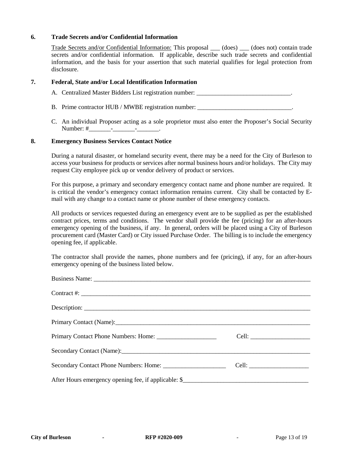#### **6. Trade Secrets and/or Confidential Information**

Trade Secrets and/or Confidential Information: This proposal (does) (does not) contain trade secrets and/or confidential information. If applicable, describe such trade secrets and confidential information, and the basis for your assertion that such material qualifies for legal protection from disclosure.

#### **7. Federal, State and/or Local Identification Information**

A. Centralized Master Bidders List registration number:

- B. Prime contractor HUB / MWBE registration number: \_\_\_\_\_\_\_\_\_\_\_\_\_\_\_\_\_\_\_\_\_\_\_\_\_\_\_\_
- C. An individual Proposer acting as a sole proprietor must also enter the Proposer's Social Security Number: #\_\_\_\_\_\_\_\_\_\_\_\_\_\_\_\_\_\_\_\_\_\_\_\_\_\_\_\_\_\_\_\_.

#### **8. Emergency Business Services Contact Notice**

During a natural disaster, or homeland security event, there may be a need for the City of Burleson to access your business for products or services after normal business hours and/or holidays. The City may request City employee pick up or vendor delivery of product or services.

For this purpose, a primary and secondary emergency contact name and phone number are required. It is critical the vendor's emergency contact information remains current. City shall be contacted by Email with any change to a contact name or phone number of these emergency contacts.

All products or services requested during an emergency event are to be supplied as per the established contract prices, terms and conditions. The vendor shall provide the fee (pricing) for an after-hours emergency opening of the business, if any. In general, orders will be placed using a City of Burleson procurement card (Master Card) or City issued Purchase Order. The billing is to include the emergency opening fee, if applicable.

The contractor shall provide the names, phone numbers and fee (pricing), if any, for an after-hours emergency opening of the business listed below.

| $\text{Contract } #: \_\_\_\_\_\_\_\_\_\$           |  |
|-----------------------------------------------------|--|
|                                                     |  |
|                                                     |  |
|                                                     |  |
| Secondary Contact (Name): Secondary Contact (Name): |  |
|                                                     |  |
|                                                     |  |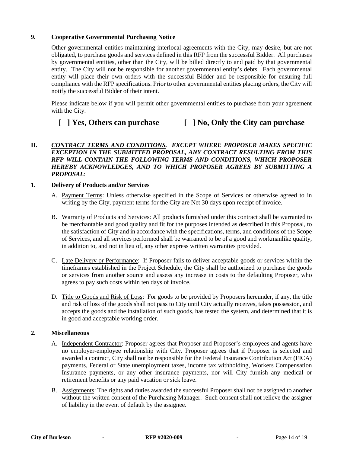#### **9. Cooperative Governmental Purchasing Notice**

Other governmental entities maintaining interlocal agreements with the City, may desire, but are not obligated, to purchase goods and services defined in this RFP from the successful Bidder. All purchases by governmental entities, other than the City, will be billed directly to and paid by that governmental entity. The City will not be responsible for another governmental entity's debts. Each governmental entity will place their own orders with the successful Bidder and be responsible for ensuring full compliance with the RFP specifications. Prior to other governmental entities placing orders, the City will notify the successful Bidder of their intent.

Please indicate below if you will permit other governmental entities to purchase from your agreement with the City.

### **[ ] Yes, Others can purchase [ ] No, Only the City can purchase**

#### **II.** *CONTRACT TERMS AND CONDITIONS. EXCEPT WHERE PROPOSER MAKES SPECIFIC EXCEPTION IN THE SUBMITTED PROPOSAL, ANY CONTRACT RESULTING FROM THIS RFP WILL CONTAIN THE FOLLOWING TERMS AND CONDITIONS, WHICH PROPOSER HEREBY ACKNOWLEDGES, AND TO WHICH PROPOSER AGREES BY SUBMITTING A PROPOSAL*:

#### **1. Delivery of Products and/or Services**

- A. Payment Terms: Unless otherwise specified in the Scope of Services or otherwise agreed to in writing by the City, payment terms for the City are Net 30 days upon receipt of invoice.
- B. Warranty of Products and Services: All products furnished under this contract shall be warranted to be merchantable and good quality and fit for the purposes intended as described in this Proposal, to the satisfaction of City and in accordance with the specifications, terms, and conditions of the Scope of Services, and all services performed shall be warranted to be of a good and workmanlike quality, in addition to, and not in lieu of, any other express written warranties provided.
- C. Late Delivery or Performance: If Proposer fails to deliver acceptable goods or services within the timeframes established in the Project Schedule, the City shall be authorized to purchase the goods or services from another source and assess any increase in costs to the defaulting Proposer, who agrees to pay such costs within ten days of invoice.
- D. Title to Goods and Risk of Loss: For goods to be provided by Proposers hereunder, if any, the title and risk of loss of the goods shall not pass to City until City actually receives, takes possession, and accepts the goods and the installation of such goods, has tested the system, and determined that it is in good and acceptable working order.

#### **2. Miscellaneous**

- A. Independent Contractor: Proposer agrees that Proposer and Proposer's employees and agents have no employer-employee relationship with City. Proposer agrees that if Proposer is selected and awarded a contract, City shall not be responsible for the Federal Insurance Contribution Act (FICA) payments, Federal or State unemployment taxes, income tax withholding, Workers Compensation Insurance payments, or any other insurance payments, nor will City furnish any medical or retirement benefits or any paid vacation or sick leave.
- B. Assignments: The rights and duties awarded the successful Proposer shall not be assigned to another without the written consent of the Purchasing Manager. Such consent shall not relieve the assigner of liability in the event of default by the assignee.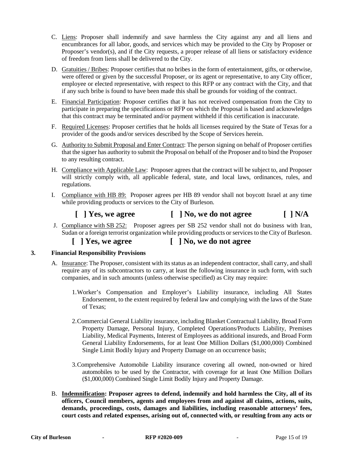- C. Liens: Proposer shall indemnify and save harmless the City against any and all liens and encumbrances for all labor, goods, and services which may be provided to the City by Proposer or Proposer's vendor(s), and if the City requests, a proper release of all liens or satisfactory evidence of freedom from liens shall be delivered to the City.
- D. Gratuities / Bribes: Proposer certifies that no bribes in the form of entertainment, gifts, or otherwise, were offered or given by the successful Proposer, or its agent or representative, to any City officer, employee or elected representative, with respect to this RFP or any contract with the City, and that if any such bribe is found to have been made this shall be grounds for voiding of the contract.
- E. Financial Participation: Proposer certifies that it has not received compensation from the City to participate in preparing the specifications or RFP on which the Proposal is based and acknowledges that this contract may be terminated and/or payment withheld if this certification is inaccurate.
- F. Required Licenses: Proposer certifies that he holds all licenses required by the State of Texas for a provider of the goods and/or services described by the Scope of Services herein.
- G. Authority to Submit Proposal and Enter Contract: The person signing on behalf of Proposer certifies that the signer has authority to submit the Proposal on behalf of the Proposer and to bind the Proposer to any resulting contract.
- H. Compliance with Applicable Law: Proposer agrees that the contract will be subject to, and Proposer will strictly comply with, all applicable federal, state, and local laws, ordinances, rules, and regulations.
- I. Compliance with HB 89: Proposer agrees per HB 89 vendor shall not boycott Israel at any time while providing products or services to the City of Burleson.

### **[ ] Yes, we agree [ ] No, we do not agree [ ] N/A**

- J. Compliance with SB 252: Proposer agrees per SB 252 vendor shall not do business with Iran, Sudan or a foreign terrorist organization while providing products or services to the City of Burleson.
	- **[ ] Yes, we agree [ ] No, we do not agree**

#### **3. Financial Responsibility Provisions**

- A. Insurance: The Proposer, consistent with its status as an independent contractor, shall carry, and shall require any of its subcontractors to carry, at least the following insurance in such form, with such companies, and in such amounts (unless otherwise specified) as City may require:
	- 1.Worker's Compensation and Employer's Liability insurance, including All States Endorsement, to the extent required by federal law and complying with the laws of the State of Texas;
	- 2.Commercial General Liability insurance, including Blanket Contractual Liability, Broad Form Property Damage, Personal Injury, Completed Operations/Products Liability, Premises Liability, Medical Payments, Interest of Employees as additional insureds, and Broad Form General Liability Endorsements, for at least One Million Dollars (\$1,000,000) Combined Single Limit Bodily Injury and Property Damage on an occurrence basis;
	- 3.Comprehensive Automobile Liability insurance covering all owned, non-owned or hired automobiles to be used by the Contractor, with coverage for at least One Million Dollars (\$1,000,000) Combined Single Limit Bodily Injury and Property Damage.
- B. **Indemnification: Proposer agrees to defend, indemnify and hold harmless the City, all of its officers, Council members, agents and employees from and against all claims, actions, suits, demands, proceedings, costs, damages and liabilities, including reasonable attorneys' fees, court costs and related expenses, arising out of, connected with, or resulting from any acts or**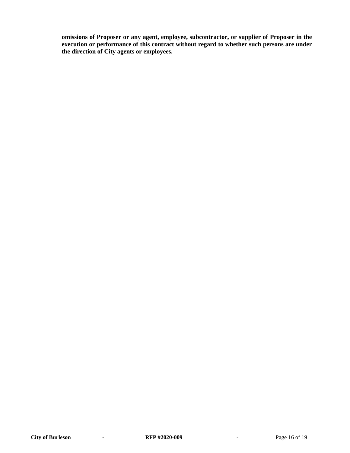**omissions of Proposer or any agent, employee, subcontractor, or supplier of Proposer in the execution or performance of this contract without regard to whether such persons are under the direction of City agents or employees.**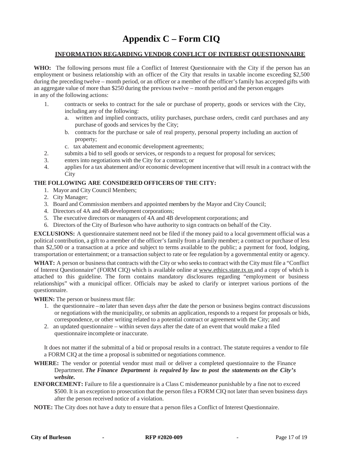# **Appendix C – Form CIQ**

#### **INFORMATION REGARDING VENDOR CONFLICT OF INTEREST QUESTIONNAIRE**

**WHO:** The following persons must file a Conflict of Interest Questionnaire with the City if the person has an employment or business relationship with an officer of the City that results in taxable income exceeding \$2,500 during the preceding twelve – month period, or an officer or a member of the officer's family has accepted gifts with an aggregate value of more than \$250 during the previous twelve – month period and the person engages in any of the following actions:

- 1. contracts or seeks to contract for the sale or purchase of property, goods or services with the City, including any of the following:
	- a. written and implied contracts, utility purchases, purchase orders, credit card purchases and any purchase of goods and services by the City;
	- b. contracts for the purchase or sale of real property, personal property including an auction of property;
	- c. tax abatement and economic development agreements;
- 2. submits a bid to sell goods or services, or responds to a request for proposal for services;
- 3. enters into negotiations with the City for a contract; or
- 4. appliesfor a tax abatement and/or economic development incentive that will result in a contract with the **City**

#### **THE FOLLOWING ARE CONSIDERED OFFICERS OF THE CITY:**

- 1. Mayor and City Council Members;
- 2. City Manager;
- 3. Board and Commission members and appointed members by the Mayor and City Council;
- 4. Directors of 4A and 4B development corporations;
- 5. The executive directors or managers of 4A and 4B development corporations; and
- 6. Directors of the City of Burleson who have authority to sign contracts on behalf of the City.

**EXCLUSIONS:** A questionnaire statement need not be filed if the money paid to a local government official was a political contribution, a gift to a member of the officer's family from a family member; a contract or purchase of less than \$2,500 or a transaction at a price and subject to terms available to the public; a payment for food, lodging, transportation or entertainment; or a transaction subject to rate or fee regulation by a governmental entity or agency.

WHAT: A person or business that contracts with the City or who seeks to contract with the City must file a "Conflict" of Interest Questionnaire" (FORM CIQ) which is available online at [www.ethics.state.tx.us](http://www.ethics.state.tx.us/) and a copy of which is attached to this guideline. The form contains mandatory disclosures regarding "employment or business relationships" with a municipal officer. Officials may be asked to clarify or interpret various portions of the questionnaire.

**WHEN:** The person or business must file:

- 1. the questionnaire no later than seven days after the date the person or business begins contract discussions or negotiations with the municipality, or submits an application, responds to a request for proposals or bids, correspondence, or other writing related to a potential contract or agreement with the City; and
- 2. an updated questionnaire within seven days after the date of an event that would make a filed questionnaire incomplete or inaccurate.

It does not matter if the submittal of a bid or proposal results in a contract. The statute requires a vendor to file a FORM CIQ at the time a proposal is submitted or negotiations commence.

- **WHERE:** The vendor or potential vendor must mail or deliver a completed questionnaire to the Finance Department. *The Finance Department is required by law to post the statements on the City's website.*
- **ENFORCEMENT:** Failure to file a questionnaire is a Class C misdemeanor punishable by a fine not to exceed \$500. It is an exception to prosecution that the person files a FORM CIQ not later than seven business days after the person received notice of a violation.
- **NOTE:** The City does not have a duty to ensure that a person files a Conflict of Interest Questionnaire.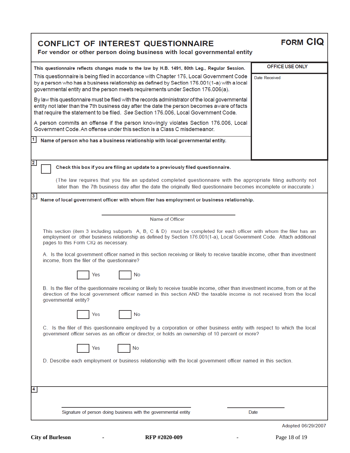| <b>CONFLICT OF INTEREST QUESTIONNAIRE</b><br>For vendor or other person doing business with local governmental entity                                                                                                                                                                                   | <b>FORM CIQ</b>    |  |
|---------------------------------------------------------------------------------------------------------------------------------------------------------------------------------------------------------------------------------------------------------------------------------------------------------|--------------------|--|
| This questionnaire reflects changes made to the law by H.B. 1491, 80th Leg., Regular Session.                                                                                                                                                                                                           | OFFICE USE ONLY    |  |
| This questionnaire is being filed in accordance with Chapter 176, Local Government Code<br>by a person who has a business relationship as defined by Section 176.001(1-a) with a local<br>governmental entity and the person meets requirements under Section 176.006(a).                               | Date Received      |  |
| By law this questionnaire must be filed with the records administrator of the local governmental<br>entity not later than the 7th business day after the date the person becomes aware of facts<br>that require the statement to be filed. See Section 176.006, Local Government Code.                  |                    |  |
| A person commits an offense if the person knowingly violates Section 176.006, Local<br>Government Code. An offense under this section is a Class C misdemeanor.                                                                                                                                         |                    |  |
| Name of person who has a business relationship with local governmental entity.                                                                                                                                                                                                                          |                    |  |
| $\overline{2}$<br>Check this box if you are filing an update to a previously filed questionnaire.                                                                                                                                                                                                       |                    |  |
| (The law requires that you file an updated completed questionnaire with the appropriate filing authority not<br>later than the 7th business day after the date the originally filed questionnaire becomes incomplete or inaccurate.)                                                                    |                    |  |
| 3<br>Name of local government officer with whom filer has employment or business relationship.                                                                                                                                                                                                          |                    |  |
|                                                                                                                                                                                                                                                                                                         |                    |  |
| Name of Officer<br>This section (item 3 including subparts A, B, C & D) must be completed for each officer with whom the filer has an<br>employment or other business relationship as defined by Section 176.001(1-a), Local Government Code. Attach additional<br>pages to this Form CIQ as necessary. |                    |  |
| A. Is the local government officer named in this section receiving or likely to receive taxable income, other than investment<br>income, from the filer of the questionnaire?                                                                                                                           |                    |  |
| <b>No</b><br>Yes                                                                                                                                                                                                                                                                                        |                    |  |
| B. Is the filer of the questionnaire receiving or likely to receive taxable income, other than investment income, from or at the<br>direction of the local government officer named in this section AND the taxable income is not received from the local<br>governmental entity?                       |                    |  |
| <b>No</b><br>Yes                                                                                                                                                                                                                                                                                        |                    |  |
| C. Is the filer of this questionnaire employed by a corporation or other business entity with respect to which the local<br>government officer serves as an officer or director, or holds an ownership of 10 percent or more?                                                                           |                    |  |
| No<br>Yes                                                                                                                                                                                                                                                                                               |                    |  |
| D. Describe each employment or business relationship with the local government officer named in this section.                                                                                                                                                                                           |                    |  |
|                                                                                                                                                                                                                                                                                                         |                    |  |
| 4                                                                                                                                                                                                                                                                                                       |                    |  |
| Signature of person doing business with the governmental entity                                                                                                                                                                                                                                         | Date               |  |
|                                                                                                                                                                                                                                                                                                         | Adopted 06/29/2007 |  |

**City of Burleson** *-* **RFP #2020-009**- Page 18 of 19